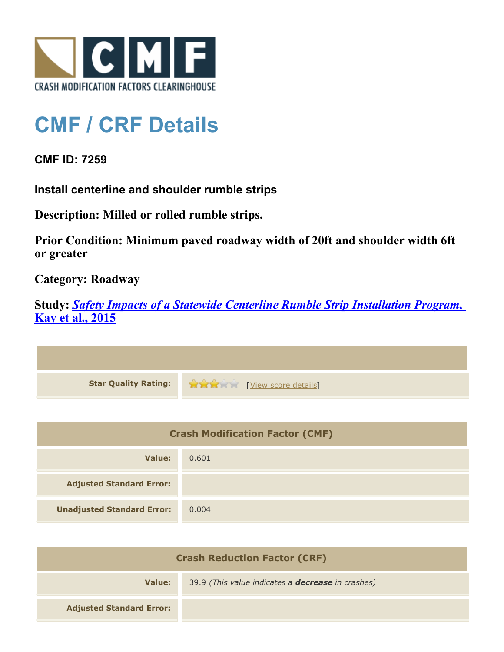

## **CMF / CRF Details**

**CMF ID: 7259**

**Install centerline and shoulder rumble strips**

**Description: Milled or rolled rumble strips.**

**Prior Condition: Minimum paved roadway width of 20ft and shoulder width 6ft or greater**

**Category: Roadway**

**Study:** *[Safety Impacts of a Statewide Centerline Rumble Strip Installation Program](http://www.cmfclearinghouse.org/study_detail.cfm?stid=421)***[,](http://www.cmfclearinghouse.org/study_detail.cfm?stid=421) [Kay et al., 2015](http://www.cmfclearinghouse.org/study_detail.cfm?stid=421)**



| <b>Crash Modification Factor (CMF)</b> |       |  |
|----------------------------------------|-------|--|
| Value:                                 | 0.601 |  |
| <b>Adjusted Standard Error:</b>        |       |  |
| <b>Unadjusted Standard Error:</b>      | 0.004 |  |

| <b>Crash Reduction Factor (CRF)</b> |                                                          |
|-------------------------------------|----------------------------------------------------------|
| Value:                              | 39.9 (This value indicates a <b>decrease</b> in crashes) |
| <b>Adjusted Standard Error:</b>     |                                                          |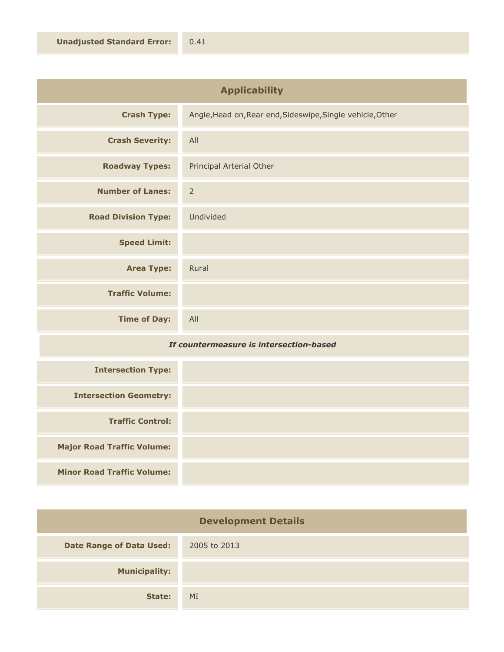| <b>Applicability</b>       |                                                            |
|----------------------------|------------------------------------------------------------|
| <b>Crash Type:</b>         | Angle, Head on, Rear end, Sideswipe, Single vehicle, Other |
| <b>Crash Severity:</b>     | All                                                        |
| <b>Roadway Types:</b>      | Principal Arterial Other                                   |
| <b>Number of Lanes:</b>    | $\overline{2}$                                             |
| <b>Road Division Type:</b> | Undivided                                                  |
| <b>Speed Limit:</b>        |                                                            |
| <b>Area Type:</b>          | Rural                                                      |
| <b>Traffic Volume:</b>     |                                                            |
| <b>Time of Day:</b>        | All                                                        |

## *If countermeasure is intersection-based*

| <b>Intersection Type:</b>         |  |
|-----------------------------------|--|
| <b>Intersection Geometry:</b>     |  |
| <b>Traffic Control:</b>           |  |
| <b>Major Road Traffic Volume:</b> |  |
| <b>Minor Road Traffic Volume:</b> |  |

| <b>Development Details</b>      |              |
|---------------------------------|--------------|
| <b>Date Range of Data Used:</b> | 2005 to 2013 |
| <b>Municipality:</b>            |              |
| State:                          | MI           |